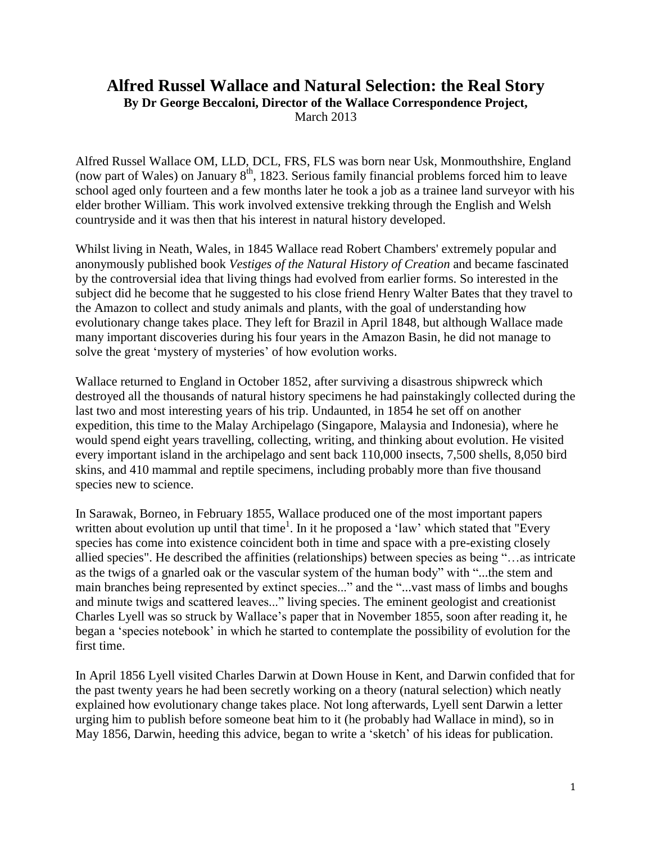## **Alfred Russel Wallace and Natural Selection: the Real Story**

**By Dr George Beccaloni, Director of the Wallace Correspondence Project,**

March 2013

Alfred Russel Wallace OM, LLD, DCL, FRS, FLS was born near Usk, Monmouthshire, England (now part of Wales) on January  $8<sup>th</sup>$ , 1823. Serious family financial problems forced him to leave school aged only fourteen and a few months later he took a job as a trainee land surveyor with his elder brother William. This work involved extensive trekking through the English and Welsh countryside and it was then that his interest in natural history developed.

Whilst living in Neath, Wales, in 1845 Wallace read Robert Chambers' extremely popular and anonymously published book *Vestiges of the Natural History of Creation* and became fascinated by the controversial idea that living things had evolved from earlier forms. So interested in the subject did he become that he suggested to his close friend Henry Walter Bates that they travel to the Amazon to collect and study animals and plants, with the goal of understanding how evolutionary change takes place. They left for Brazil in April 1848, but although Wallace made many important discoveries during his four years in the Amazon Basin, he did not manage to solve the great 'mystery of mysteries' of how evolution works.

Wallace returned to England in October 1852, after surviving a disastrous shipwreck which destroyed all the thousands of natural history specimens he had painstakingly collected during the last two and most interesting years of his trip. Undaunted, in 1854 he set off on another expedition, this time to the Malay Archipelago (Singapore, Malaysia and Indonesia), where he would spend eight years travelling, collecting, writing, and thinking about evolution. He visited every important island in the archipelago and sent back 110,000 insects, 7,500 shells, 8,050 bird skins, and 410 mammal and reptile specimens, including probably more than five thousand species new to science.

In Sarawak, Borneo, in February 1855, Wallace produced one of the most important papers written about evolution up until that time<sup>1</sup>. In it he proposed a 'law' which stated that "Every species has come into existence coincident both in time and space with a pre-existing closely allied species". He described the affinities (relationships) between species as being "…as intricate as the twigs of a gnarled oak or the vascular system of the human body" with "...the stem and main branches being represented by extinct species..." and the "...vast mass of limbs and boughs and minute twigs and scattered leaves..." living species. The eminent geologist and creationist Charles Lyell was so struck by Wallace's paper that in November 1855, soon after reading it, he began a 'species notebook' in which he started to contemplate the possibility of evolution for the first time.

In April 1856 Lyell visited Charles Darwin at Down House in Kent, and Darwin confided that for the past twenty years he had been secretly working on a theory (natural selection) which neatly explained how evolutionary change takes place. Not long afterwards, Lyell sent Darwin a letter urging him to publish before someone beat him to it (he probably had Wallace in mind), so in May 1856, Darwin, heeding this advice, began to write a 'sketch' of his ideas for publication.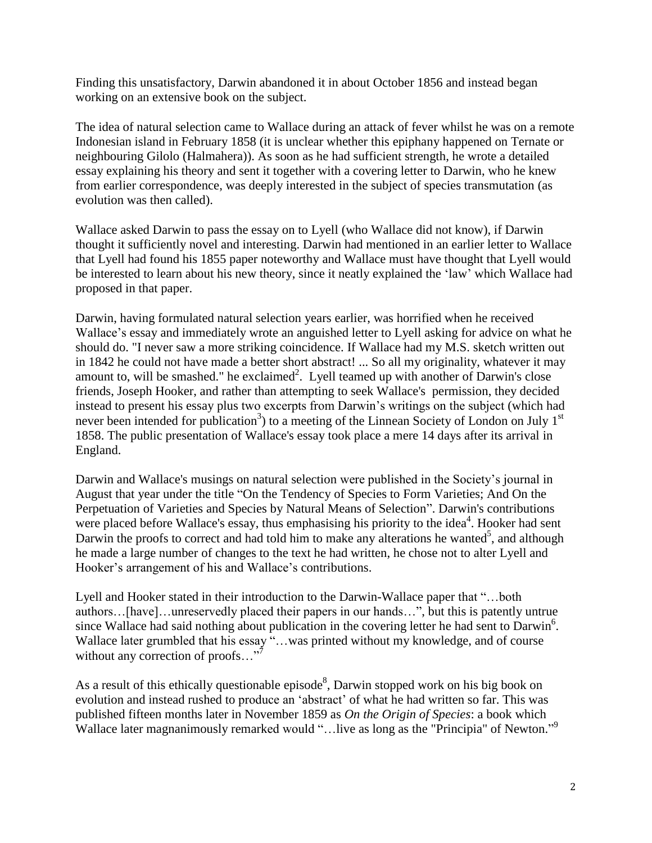Finding this unsatisfactory, Darwin abandoned it in about October 1856 and instead began working on an extensive book on the subject.

The idea of natural selection came to Wallace during an attack of fever whilst he was on a remote Indonesian island in February 1858 (it is unclear whether this epiphany happened on Ternate or neighbouring Gilolo (Halmahera)). As soon as he had sufficient strength, he wrote a detailed essay explaining his theory and sent it together with a covering letter to Darwin, who he knew from earlier correspondence, was deeply interested in the subject of species transmutation (as evolution was then called).

Wallace asked Darwin to pass the essay on to Lyell (who Wallace did not know), if Darwin thought it sufficiently novel and interesting. Darwin had mentioned in an earlier letter to Wallace that Lyell had found his 1855 paper noteworthy and Wallace must have thought that Lyell would be interested to learn about his new theory, since it neatly explained the 'law' which Wallace had proposed in that paper.

Darwin, having formulated natural selection years earlier, was horrified when he received Wallace's essay and immediately wrote an anguished letter to Lyell asking for advice on what he should do. "I never saw a more striking coincidence. If Wallace had my M.S. sketch written out in 1842 he could not have made a better short abstract! ... So all my originality, whatever it may amount to, will be smashed." he exclaimed<sup>2</sup>. Lyell teamed up with another of Darwin's close friends, Joseph Hooker, and rather than attempting to seek Wallace's permission, they decided instead to present his essay plus two excerpts from Darwin's writings on the subject (which had never been intended for publication<sup>3</sup>) to a meeting of the Linnean Society of London on July  $1<sup>st</sup>$ 1858. The public presentation of Wallace's essay took place a mere 14 days after its arrival in England.

Darwin and Wallace's musings on natural selection were published in the Society's journal in August that year under the title "On the Tendency of Species to Form Varieties; And On the Perpetuation of Varieties and Species by Natural Means of Selection". Darwin's contributions were placed before Wallace's essay, thus emphasising his priority to the idea<sup>4</sup>. Hooker had sent Darwin the proofs to correct and had told him to make any alterations he wanted<sup>5</sup>, and although he made a large number of changes to the text he had written, he chose not to alter Lyell and Hooker's arrangement of his and Wallace's contributions.

Lyell and Hooker stated in their introduction to the Darwin-Wallace paper that "…both authors…[have]…unreservedly placed their papers in our hands…", but this is patently untrue since Wallace had said nothing about publication in the covering letter he had sent to Darwin<sup>6</sup>. Wallace later grumbled that his essay "...was printed without my knowledge, and of course without any correction of proofs..."<sup>7</sup>

As a result of this ethically questionable episode<sup>8</sup>, Darwin stopped work on his big book on evolution and instead rushed to produce an 'abstract' of what he had written so far. This was published fifteen months later in November 1859 as *On the Origin of Species*: a book which Wallace later magnanimously remarked would "...live as long as the "Principia" of Newton."<sup>9</sup>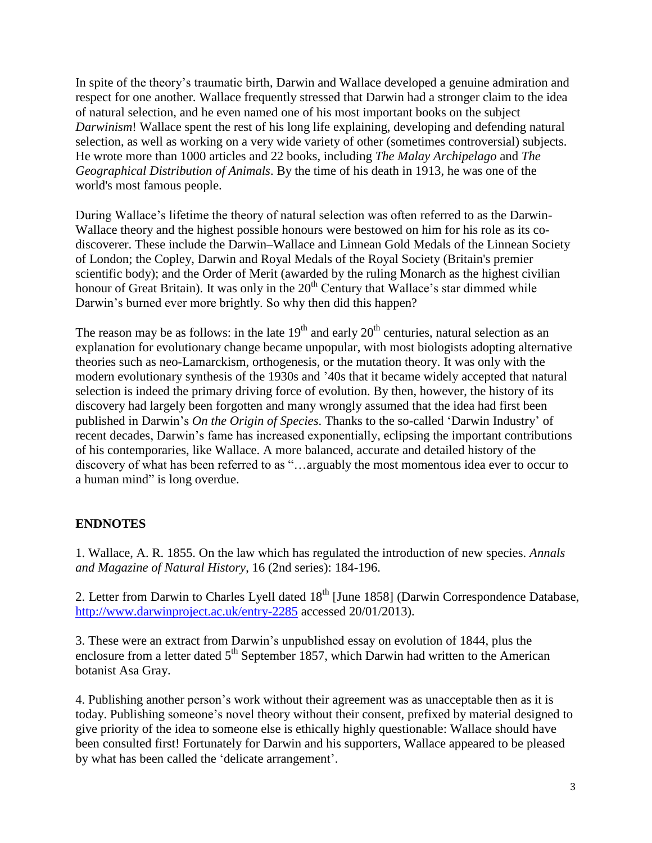In spite of the theory's traumatic birth, Darwin and Wallace developed a genuine admiration and respect for one another. Wallace frequently stressed that Darwin had a stronger claim to the idea of natural selection, and he even named one of his most important books on the subject *Darwinism*! Wallace spent the rest of his long life explaining, developing and defending natural selection, as well as working on a very wide variety of other (sometimes controversial) subjects. He wrote more than 1000 articles and 22 books, including *The Malay Archipelago* and *The Geographical Distribution of Animals*. By the time of his death in 1913, he was one of the world's most famous people.

During Wallace's lifetime the theory of natural selection was often referred to as the Darwin-Wallace theory and the highest possible honours were bestowed on him for his role as its codiscoverer. These include the Darwin–Wallace and Linnean Gold Medals of the Linnean Society of London; the Copley, Darwin and Royal Medals of the Royal Society (Britain's premier scientific body); and the Order of Merit (awarded by the ruling Monarch as the highest civilian honour of Great Britain). It was only in the 20<sup>th</sup> Century that Wallace's star dimmed while Darwin's burned ever more brightly. So why then did this happen?

The reason may be as follows: in the late  $19<sup>th</sup>$  and early  $20<sup>th</sup>$  centuries, natural selection as an explanation for evolutionary change became unpopular, with most biologists adopting alternative theories such as neo-Lamarckism, orthogenesis, or the mutation theory. It was only with the modern evolutionary synthesis of the 1930s and '40s that it became widely accepted that natural selection is indeed the primary driving force of evolution. By then, however, the history of its discovery had largely been forgotten and many wrongly assumed that the idea had first been published in Darwin's *On the Origin of Species*. Thanks to the so-called 'Darwin Industry' of recent decades, Darwin's fame has increased exponentially, eclipsing the important contributions of his contemporaries, like Wallace. A more balanced, accurate and detailed history of the discovery of what has been referred to as "…arguably the most momentous idea ever to occur to a human mind" is long overdue.

## **ENDNOTES**

1. Wallace, A. R. 1855. On the law which has regulated the introduction of new species. *Annals and Magazine of Natural History*, 16 (2nd series): 184-196.

2. Letter from Darwin to Charles Lyell dated  $18<sup>th</sup>$  [June 1858] (Darwin Correspondence Database, <http://www.darwinproject.ac.uk/entry-2285> accessed 20/01/2013).

3. These were an extract from Darwin's unpublished essay on evolution of 1844, plus the enclosure from a letter dated 5<sup>th</sup> September 1857, which Darwin had written to the American botanist Asa Gray.

4. Publishing another person's work without their agreement was as unacceptable then as it is today. Publishing someone's novel theory without their consent, prefixed by material designed to give priority of the idea to someone else is ethically highly questionable: Wallace should have been consulted first! Fortunately for Darwin and his supporters, Wallace appeared to be pleased by what has been called the 'delicate arrangement'.